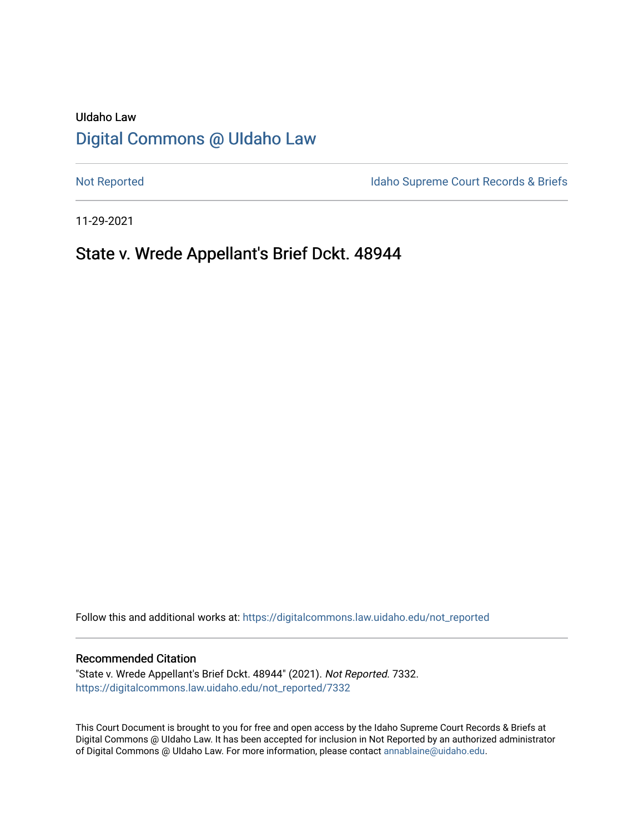# UIdaho Law [Digital Commons @ UIdaho Law](https://digitalcommons.law.uidaho.edu/)

[Not Reported](https://digitalcommons.law.uidaho.edu/not_reported) **Idaho Supreme Court Records & Briefs** 

11-29-2021

## State v. Wrede Appellant's Brief Dckt. 48944

Follow this and additional works at: [https://digitalcommons.law.uidaho.edu/not\\_reported](https://digitalcommons.law.uidaho.edu/not_reported?utm_source=digitalcommons.law.uidaho.edu%2Fnot_reported%2F7332&utm_medium=PDF&utm_campaign=PDFCoverPages) 

#### Recommended Citation

"State v. Wrede Appellant's Brief Dckt. 48944" (2021). Not Reported. 7332. [https://digitalcommons.law.uidaho.edu/not\\_reported/7332](https://digitalcommons.law.uidaho.edu/not_reported/7332?utm_source=digitalcommons.law.uidaho.edu%2Fnot_reported%2F7332&utm_medium=PDF&utm_campaign=PDFCoverPages)

This Court Document is brought to you for free and open access by the Idaho Supreme Court Records & Briefs at Digital Commons @ UIdaho Law. It has been accepted for inclusion in Not Reported by an authorized administrator of Digital Commons @ UIdaho Law. For more information, please contact [annablaine@uidaho.edu](mailto:annablaine@uidaho.edu).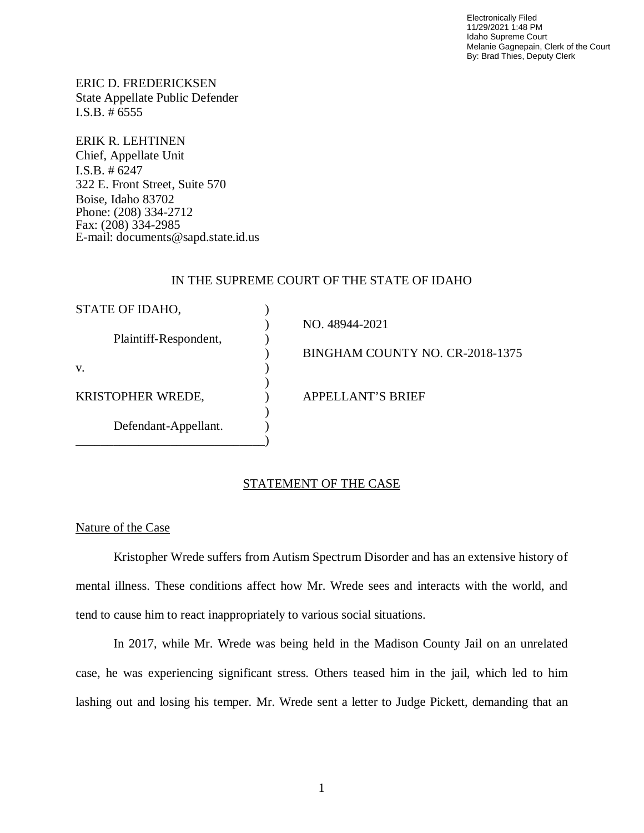Electronically Filed 11/29/2021 1:48 PM Idaho Supreme Court Melanie Gagnepain, Clerk of the Court By: Brad Thies, Deputy Clerk

ERIC D. FREDERICKSEN State Appellate Public Defender I.S.B. # 6555

ERIK R. LEHTINEN Chief, Appellate Unit I.S.B. # 6247 322 E. Front Street, Suite 570 Boise, Idaho 83702 Phone: (208) 334-2712 Fax: (208) 334-2985 E-mail: documents@sapd.state.id.us

## IN THE SUPREME COURT OF THE STATE OF IDAHO

| NO. 48944-2021<br>Plaintiff-Respondent,       | STATE OF IDAHO, |                                 |
|-----------------------------------------------|-----------------|---------------------------------|
|                                               |                 |                                 |
|                                               |                 |                                 |
|                                               |                 | BINGHAM COUNTY NO. CR-2018-1375 |
| V.                                            |                 |                                 |
|                                               |                 |                                 |
| <b>KRISTOPHER WREDE,</b><br>APPELLANT'S BRIEF |                 |                                 |
|                                               |                 |                                 |
| Defendant-Appellant.                          |                 |                                 |
|                                               |                 |                                 |

## STATEMENT OF THE CASE

## Nature of the Case

Kristopher Wrede suffers from Autism Spectrum Disorder and has an extensive history of mental illness. These conditions affect how Mr. Wrede sees and interacts with the world, and tend to cause him to react inappropriately to various social situations.

In 2017, while Mr. Wrede was being held in the Madison County Jail on an unrelated case, he was experiencing significant stress. Others teased him in the jail, which led to him lashing out and losing his temper. Mr. Wrede sent a letter to Judge Pickett, demanding that an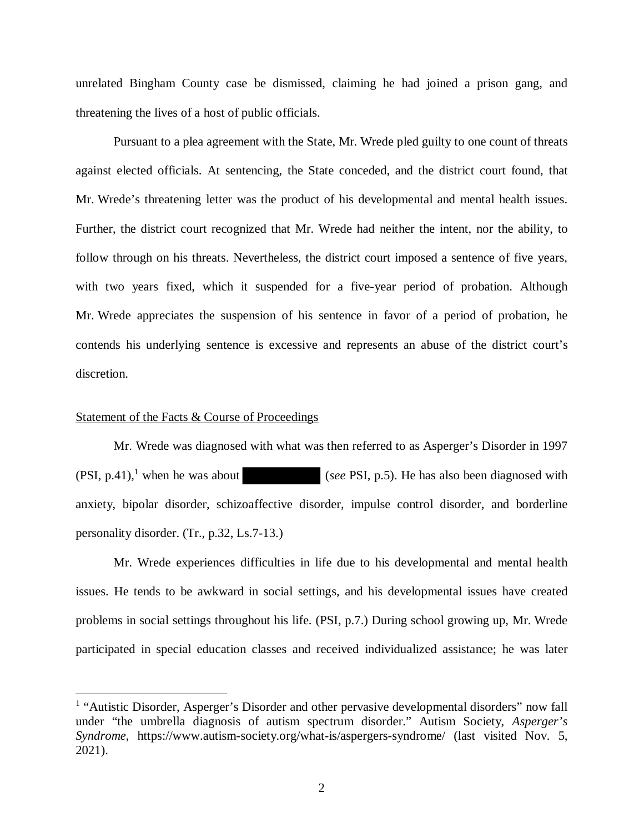unrelated Bingham County case be dismissed, claiming he had joined a prison gang, and threatening the lives of a host of public officials.

Pursuant to a plea agreement with the State, Mr. Wrede pled guilty to one count of threats against elected officials. At sentencing, the State conceded, and the district court found, that Mr. Wrede's threatening letter was the product of his developmental and mental health issues. Further, the district court recognized that Mr. Wrede had neither the intent, nor the ability, to follow through on his threats. Nevertheless, the district court imposed a sentence of five years, with two years fixed, which it suspended for a five-year period of probation. Although Mr. Wrede appreciates the suspension of his sentence in favor of a period of probation, he contends his underlying sentence is excessive and represents an abuse of the district court's discretion.

#### Statement of the Facts & Course of Proceedings

Mr. Wrede was diagnosed with what was then referred to as Asperger's Disorder in 1997  $(PSI, p.41)$  $(PSI, p.41)$  $(PSI, p.41)$ , when he was about (*see* PSI, p.5). He has also been diagnosed with anxiety, bipolar disorder, schizoaffective disorder, impulse control disorder, and borderline personality disorder. (Tr., p.32, Ls.7-13.)

Mr. Wrede experiences difficulties in life due to his developmental and mental health issues. He tends to be awkward in social settings, and his developmental issues have created problems in social settings throughout his life. (PSI, p.7.) During school growing up, Mr. Wrede participated in special education classes and received individualized assistance; he was later

<span id="page-2-0"></span><sup>&</sup>lt;sup>1</sup> "Autistic Disorder, Asperger's Disorder and other pervasive developmental disorders" now fall under "the umbrella diagnosis of autism spectrum disorder." Autism Society, *Asperger's Syndrome*, https://www.autism-society.org/what-is/aspergers-syndrome/ (last visited Nov. 5, 2021).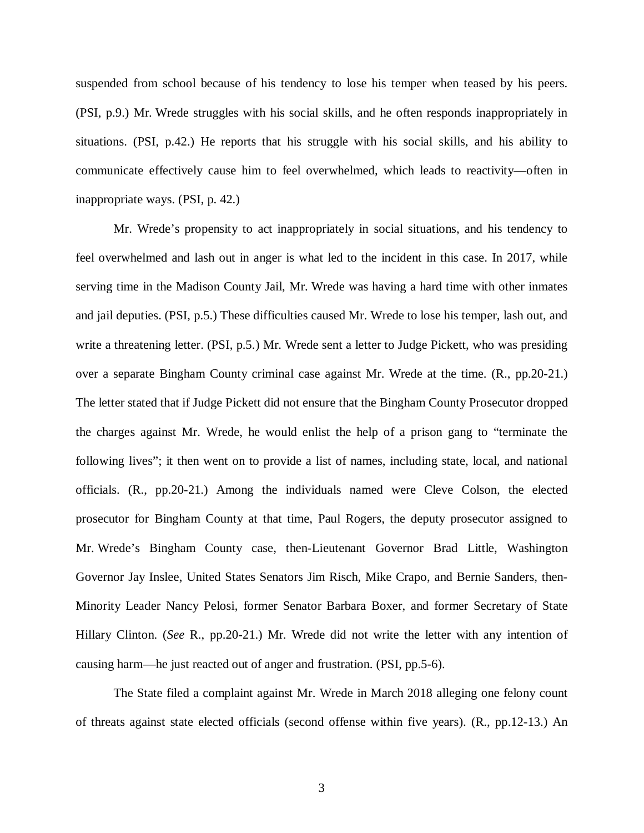suspended from school because of his tendency to lose his temper when teased by his peers. (PSI, p.9.) Mr. Wrede struggles with his social skills, and he often responds inappropriately in situations. (PSI, p.42.) He reports that his struggle with his social skills, and his ability to communicate effectively cause him to feel overwhelmed, which leads to reactivity—often in inappropriate ways. (PSI, p. 42.)

Mr. Wrede's propensity to act inappropriately in social situations, and his tendency to feel overwhelmed and lash out in anger is what led to the incident in this case. In 2017, while serving time in the Madison County Jail, Mr. Wrede was having a hard time with other inmates and jail deputies. (PSI, p.5.) These difficulties caused Mr. Wrede to lose his temper, lash out, and write a threatening letter. (PSI, p.5.) Mr. Wrede sent a letter to Judge Pickett, who was presiding over a separate Bingham County criminal case against Mr. Wrede at the time. (R., pp.20-21.) The letter stated that if Judge Pickett did not ensure that the Bingham County Prosecutor dropped the charges against Mr. Wrede, he would enlist the help of a prison gang to "terminate the following lives"; it then went on to provide a list of names, including state, local, and national officials. (R., pp.20-21.) Among the individuals named were Cleve Colson, the elected prosecutor for Bingham County at that time, Paul Rogers, the deputy prosecutor assigned to Mr. Wrede's Bingham County case, then-Lieutenant Governor Brad Little, Washington Governor Jay Inslee, United States Senators Jim Risch, Mike Crapo, and Bernie Sanders, then-Minority Leader Nancy Pelosi, former Senator Barbara Boxer, and former Secretary of State Hillary Clinton. (*See* R., pp.20-21.) Mr. Wrede did not write the letter with any intention of causing harm—he just reacted out of anger and frustration. (PSI, pp.5-6).

The State filed a complaint against Mr. Wrede in March 2018 alleging one felony count of threats against state elected officials (second offense within five years). (R., pp.12-13.) An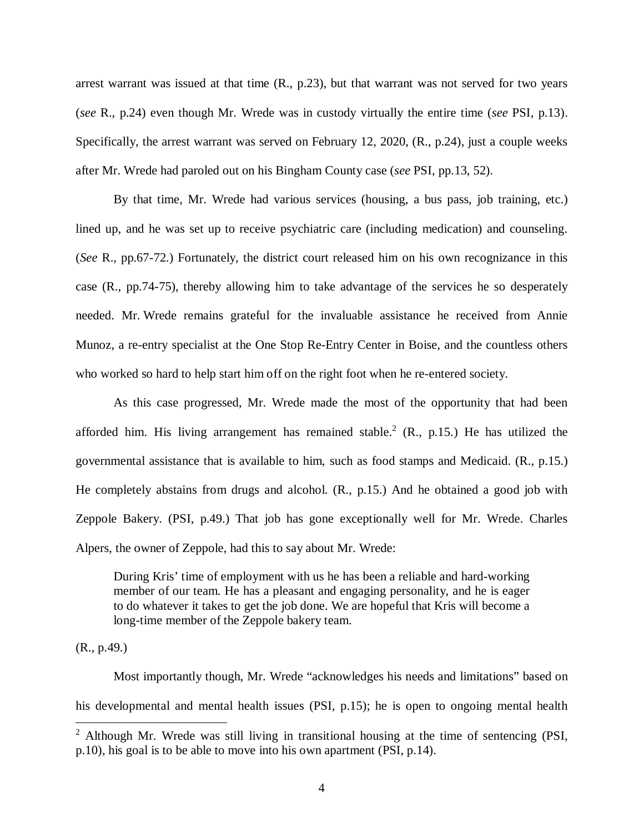arrest warrant was issued at that time (R., p.23), but that warrant was not served for two years (*see* R., p.24) even though Mr. Wrede was in custody virtually the entire time (*see* PSI, p.13). Specifically, the arrest warrant was served on February 12, 2020, (R., p.24), just a couple weeks after Mr. Wrede had paroled out on his Bingham County case (*see* PSI, pp.13, 52).

By that time, Mr. Wrede had various services (housing, a bus pass, job training, etc.) lined up, and he was set up to receive psychiatric care (including medication) and counseling. (*See* R., pp.67-72.) Fortunately, the district court released him on his own recognizance in this case (R., pp.74-75), thereby allowing him to take advantage of the services he so desperately needed. Mr. Wrede remains grateful for the invaluable assistance he received from Annie Munoz, a re-entry specialist at the One Stop Re-Entry Center in Boise, and the countless others who worked so hard to help start him off on the right foot when he re-entered society.

As this case progressed, Mr. Wrede made the most of the opportunity that had been afforded him. His living arrangement has remained stable.<sup>[2](#page-4-0)</sup> (R., p.15.) He has utilized the governmental assistance that is available to him, such as food stamps and Medicaid. (R., p.15.) He completely abstains from drugs and alcohol. (R., p.15.) And he obtained a good job with Zeppole Bakery. (PSI, p.49.) That job has gone exceptionally well for Mr. Wrede. Charles Alpers, the owner of Zeppole, had this to say about Mr. Wrede:

During Kris' time of employment with us he has been a reliable and hard-working member of our team. He has a pleasant and engaging personality, and he is eager to do whatever it takes to get the job done. We are hopeful that Kris will become a long-time member of the Zeppole bakery team.

(R., p.49.)

Most importantly though, Mr. Wrede "acknowledges his needs and limitations" based on his developmental and mental health issues (PSI, p.15); he is open to ongoing mental health

<span id="page-4-0"></span><sup>&</sup>lt;sup>2</sup> Although Mr. Wrede was still living in transitional housing at the time of sentencing (PSI, p.10), his goal is to be able to move into his own apartment (PSI, p.14).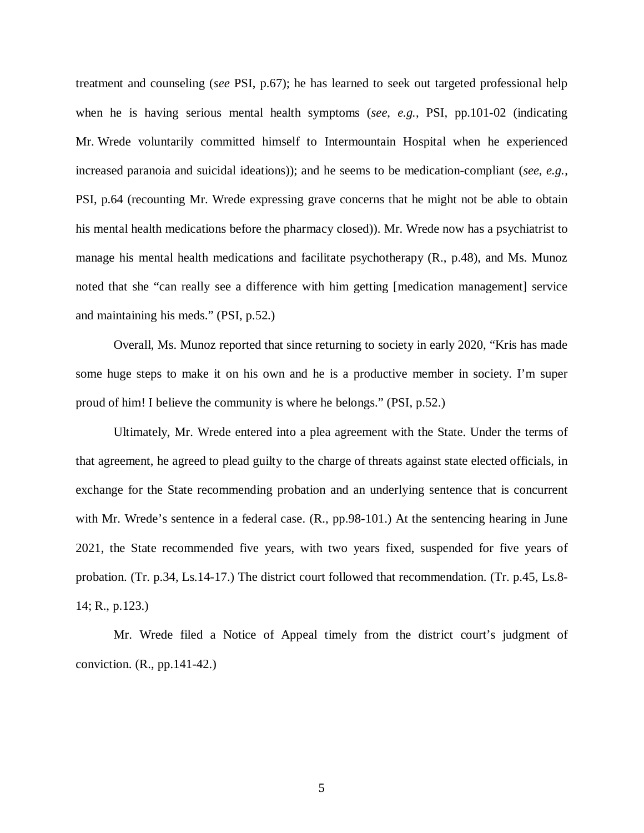treatment and counseling (*see* PSI, p.67); he has learned to seek out targeted professional help when he is having serious mental health symptoms (*see*, *e.g.*, PSI, pp.101-02 (indicating Mr. Wrede voluntarily committed himself to Intermountain Hospital when he experienced increased paranoia and suicidal ideations)); and he seems to be medication-compliant (*see*, *e.g.*, PSI, p.64 (recounting Mr. Wrede expressing grave concerns that he might not be able to obtain his mental health medications before the pharmacy closed)). Mr. Wrede now has a psychiatrist to manage his mental health medications and facilitate psychotherapy (R., p.48), and Ms. Munoz noted that she "can really see a difference with him getting [medication management] service and maintaining his meds." (PSI, p.52.)

Overall, Ms. Munoz reported that since returning to society in early 2020, "Kris has made some huge steps to make it on his own and he is a productive member in society. I'm super proud of him! I believe the community is where he belongs." (PSI, p.52.)

Ultimately, Mr. Wrede entered into a plea agreement with the State. Under the terms of that agreement, he agreed to plead guilty to the charge of threats against state elected officials, in exchange for the State recommending probation and an underlying sentence that is concurrent with Mr. Wrede's sentence in a federal case. (R., pp.98-101.) At the sentencing hearing in June 2021, the State recommended five years, with two years fixed, suspended for five years of probation. (Tr. p.34, Ls.14-17.) The district court followed that recommendation. (Tr. p.45, Ls.8- 14; R., p.123.)

Mr. Wrede filed a Notice of Appeal timely from the district court's judgment of conviction. (R., pp.141-42.)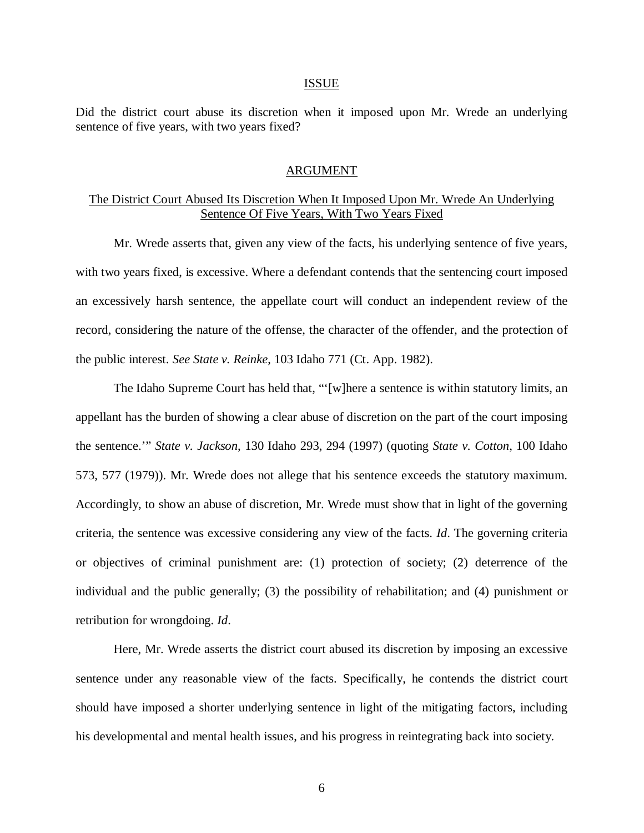#### ISSUE

Did the district court abuse its discretion when it imposed upon Mr. Wrede an underlying sentence of five years, with two years fixed?

### ARGUMENT

## The District Court Abused Its Discretion When It Imposed Upon Mr. Wrede An Underlying Sentence Of Five Years, With Two Years Fixed

Mr. Wrede asserts that, given any view of the facts, his underlying sentence of five years, with two years fixed, is excessive. Where a defendant contends that the sentencing court imposed an excessively harsh sentence, the appellate court will conduct an independent review of the record, considering the nature of the offense, the character of the offender, and the protection of the public interest. *See State v. Reinke*, 103 Idaho 771 (Ct. App. 1982).

The Idaho Supreme Court has held that, "'[w]here a sentence is within statutory limits, an appellant has the burden of showing a clear abuse of discretion on the part of the court imposing the sentence.'" *State v. Jackson*, 130 Idaho 293, 294 (1997) (quoting *State v. Cotton*, 100 Idaho 573, 577 (1979)). Mr. Wrede does not allege that his sentence exceeds the statutory maximum. Accordingly, to show an abuse of discretion, Mr. Wrede must show that in light of the governing criteria, the sentence was excessive considering any view of the facts. *Id*. The governing criteria or objectives of criminal punishment are: (1) protection of society; (2) deterrence of the individual and the public generally; (3) the possibility of rehabilitation; and (4) punishment or retribution for wrongdoing. *Id*.

Here, Mr. Wrede asserts the district court abused its discretion by imposing an excessive sentence under any reasonable view of the facts. Specifically, he contends the district court should have imposed a shorter underlying sentence in light of the mitigating factors, including his developmental and mental health issues, and his progress in reintegrating back into society.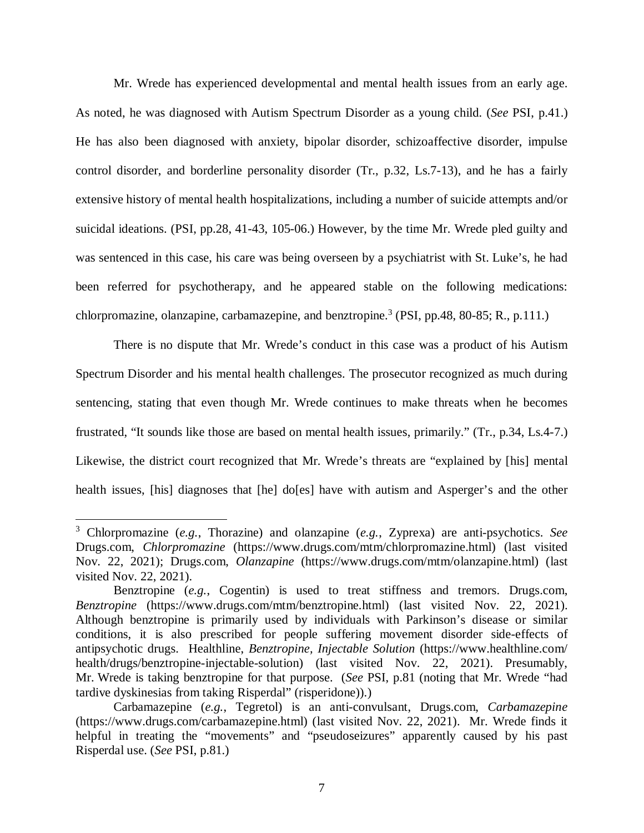Mr. Wrede has experienced developmental and mental health issues from an early age. As noted, he was diagnosed with Autism Spectrum Disorder as a young child. (*See* PSI, p.41.) He has also been diagnosed with anxiety, bipolar disorder, schizoaffective disorder, impulse control disorder, and borderline personality disorder (Tr., p.32, Ls.7-13), and he has a fairly extensive history of mental health hospitalizations, including a number of suicide attempts and/or suicidal ideations. (PSI, pp.28, 41-43, 105-06.) However, by the time Mr. Wrede pled guilty and was sentenced in this case, his care was being overseen by a psychiatrist with St. Luke's, he had been referred for psychotherapy, and he appeared stable on the following medications: chlorpromazine, olanzapine, carbamazepine, and benztropine.<sup>[3](#page-7-0)</sup> (PSI, pp.48, 80-85; R., p.111.)

There is no dispute that Mr. Wrede's conduct in this case was a product of his Autism Spectrum Disorder and his mental health challenges. The prosecutor recognized as much during sentencing, stating that even though Mr. Wrede continues to make threats when he becomes frustrated, "It sounds like those are based on mental health issues, primarily." (Tr., p.34, Ls.4-7.) Likewise, the district court recognized that Mr. Wrede's threats are "explained by [his] mental health issues, [his] diagnoses that [he] do[es] have with autism and Asperger's and the other

<span id="page-7-0"></span><sup>3</sup> Chlorpromazine (*e.g.*, Thorazine) and olanzapine (*e.g.*, Zyprexa) are anti-psychotics. *See* Drugs.com, *Chlorpromazine* (https://www.drugs.com/mtm/chlorpromazine.html) (last visited Nov. 22, 2021); Drugs.com, *Olanzapine* (https://www.drugs.com/mtm/olanzapine.html) (last visited Nov. 22, 2021).

Benztropine (*e.g.*, Cogentin) is used to treat stiffness and tremors. Drugs.com, *Benztropine* (https://www.drugs.com/mtm/benztropine.html) (last visited Nov. 22, 2021). Although benztropine is primarily used by individuals with Parkinson's disease or similar conditions, it is also prescribed for people suffering movement disorder side-effects of antipsychotic drugs. Healthline, *Benztropine, Injectable Solution* (https://www.healthline.com/ health/drugs/benztropine-injectable-solution) (last visited Nov. 22, 2021). Presumably, Mr. Wrede is taking benztropine for that purpose. (*See* PSI, p.81 (noting that Mr. Wrede "had tardive dyskinesias from taking Risperdal" (risperidone)).)

Carbamazepine (*e.g.*, Tegretol) is an anti-convulsant, Drugs.com, *Carbamazepine* (https://www.drugs.com/carbamazepine.html) (last visited Nov. 22, 2021). Mr. Wrede finds it helpful in treating the "movements" and "pseudoseizures" apparently caused by his past Risperdal use. (*See* PSI, p.81.)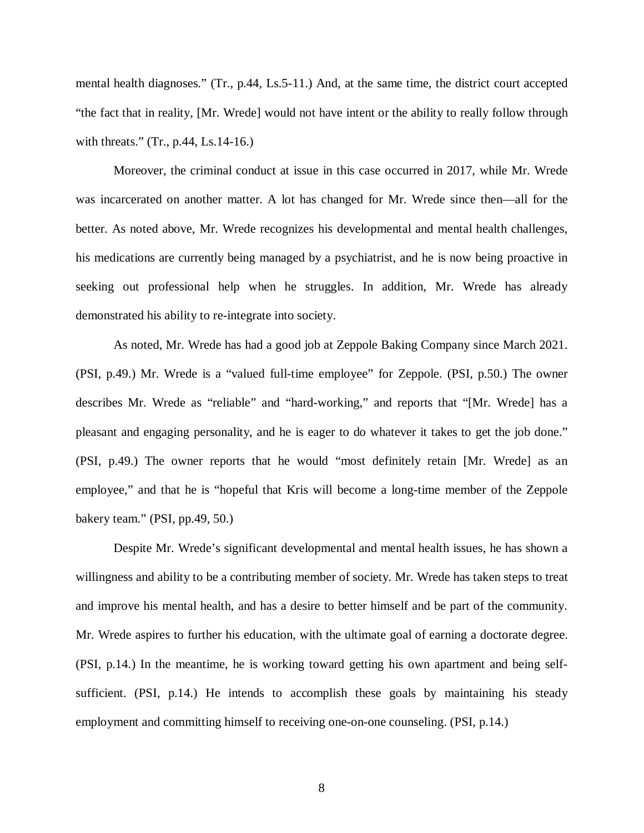mental health diagnoses." (Tr., p.44, Ls.5-11.) And, at the same time, the district court accepted "the fact that in reality, [Mr. Wrede] would not have intent or the ability to really follow through with threats." (Tr., p.44, Ls.14-16.)

Moreover, the criminal conduct at issue in this case occurred in 2017, while Mr. Wrede was incarcerated on another matter. A lot has changed for Mr. Wrede since then—all for the better. As noted above, Mr. Wrede recognizes his developmental and mental health challenges, his medications are currently being managed by a psychiatrist, and he is now being proactive in seeking out professional help when he struggles. In addition, Mr. Wrede has already demonstrated his ability to re-integrate into society.

As noted, Mr. Wrede has had a good job at Zeppole Baking Company since March 2021. (PSI, p.49.) Mr. Wrede is a "valued full-time employee" for Zeppole. (PSI, p.50.) The owner describes Mr. Wrede as "reliable" and "hard-working," and reports that "[Mr. Wrede] has a pleasant and engaging personality, and he is eager to do whatever it takes to get the job done." (PSI, p.49.) The owner reports that he would "most definitely retain [Mr. Wrede] as an employee," and that he is "hopeful that Kris will become a long-time member of the Zeppole bakery team." (PSI, pp.49, 50.)

Despite Mr. Wrede's significant developmental and mental health issues, he has shown a willingness and ability to be a contributing member of society. Mr. Wrede has taken steps to treat and improve his mental health, and has a desire to better himself and be part of the community. Mr. Wrede aspires to further his education, with the ultimate goal of earning a doctorate degree. (PSI, p.14.) In the meantime, he is working toward getting his own apartment and being selfsufficient. (PSI, p.14.) He intends to accomplish these goals by maintaining his steady employment and committing himself to receiving one-on-one counseling. (PSI, p.14.)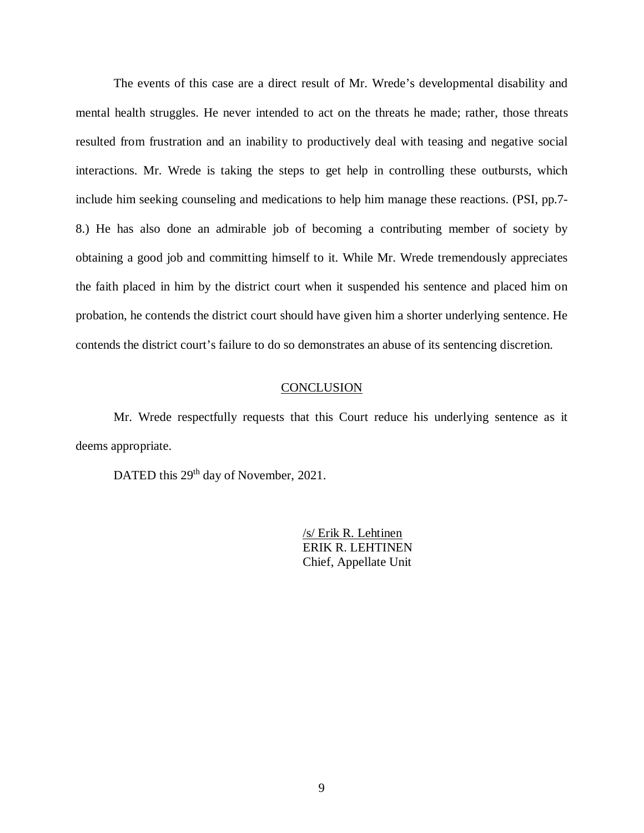The events of this case are a direct result of Mr. Wrede's developmental disability and mental health struggles. He never intended to act on the threats he made; rather, those threats resulted from frustration and an inability to productively deal with teasing and negative social interactions. Mr. Wrede is taking the steps to get help in controlling these outbursts, which include him seeking counseling and medications to help him manage these reactions. (PSI, pp.7- 8.) He has also done an admirable job of becoming a contributing member of society by obtaining a good job and committing himself to it. While Mr. Wrede tremendously appreciates the faith placed in him by the district court when it suspended his sentence and placed him on probation, he contends the district court should have given him a shorter underlying sentence. He contends the district court's failure to do so demonstrates an abuse of its sentencing discretion.

### **CONCLUSION**

Mr. Wrede respectfully requests that this Court reduce his underlying sentence as it deems appropriate.

DATED this 29<sup>th</sup> day of November, 2021.

/s/ Erik R. Lehtinen ERIK R. LEHTINEN Chief, Appellate Unit